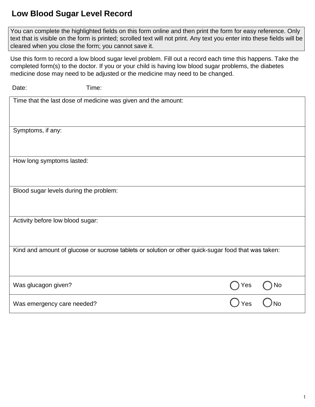## **Low Blood Sugar Level Record**

 You can complete the highlighted fields on this form online and then print the form for easy reference. Only text that is visible on the form is printed; scrolled text will not print. Any text you enter into these fields will be cleared when you close the form; you cannot save it.

 Use this form to record a low blood sugar level problem. Fill out a record each time this happens. Take the completed form(s) to the doctor. If you or your child is having low blood sugar problems, the diabetes medicine dose may need to be adjusted or the medicine may need to be changed.

| Date:                                  | Time:                                                         |                                                                                                     |           |
|----------------------------------------|---------------------------------------------------------------|-----------------------------------------------------------------------------------------------------|-----------|
|                                        | Time that the last dose of medicine was given and the amount: |                                                                                                     |           |
|                                        |                                                               |                                                                                                     |           |
| Symptoms, if any:                      |                                                               |                                                                                                     |           |
|                                        |                                                               |                                                                                                     |           |
| How long symptoms lasted:              |                                                               |                                                                                                     |           |
|                                        |                                                               |                                                                                                     |           |
| Blood sugar levels during the problem: |                                                               |                                                                                                     |           |
|                                        |                                                               |                                                                                                     |           |
| Activity before low blood sugar:       |                                                               |                                                                                                     |           |
|                                        |                                                               |                                                                                                     |           |
|                                        |                                                               | Kind and amount of glucose or sucrose tablets or solution or other quick-sugar food that was taken: |           |
|                                        |                                                               |                                                                                                     |           |
| Was glucagon given?                    |                                                               | Yes                                                                                                 | No        |
| Was emergency care needed?             |                                                               | Yes                                                                                                 | <b>No</b> |